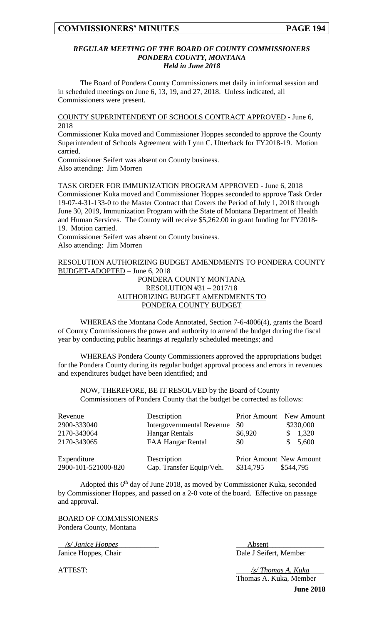#### *REGULAR MEETING OF THE BOARD OF COUNTY COMMISSIONERS PONDERA COUNTY, MONTANA Held in June 2018*

The Board of Pondera County Commissioners met daily in informal session and in scheduled meetings on June 6, 13, 19, and 27, 2018. Unless indicated, all Commissioners were present.

COUNTY SUPERINTENDENT OF SCHOOLS CONTRACT APPROVED - June 6, 2018

Commissioner Kuka moved and Commissioner Hoppes seconded to approve the County Superintendent of Schools Agreement with Lynn C. Utterback for FY2018-19. Motion carried.

Commissioner Seifert was absent on County business. Also attending: Jim Morren

TASK ORDER FOR IMMUNIZATION PROGRAM APPROVED - June 6, 2018 Commissioner Kuka moved and Commissioner Hoppes seconded to approve Task Order 19-07-4-31-133-0 to the Master Contract that Covers the Period of July 1, 2018 through June 30, 2019, Immunization Program with the State of Montana Department of Health and Human Services. The County will receive \$5,262.00 in grant funding for FY2018- 19. Motion carried.

Commissioner Seifert was absent on County business. Also attending: Jim Morren

## RESOLUTION AUTHORIZING BUDGET AMENDMENTS TO PONDERA COUNTY BUDGET-ADOPTED – June 6, 2018

#### PONDERA COUNTY MONTANA RESOLUTION #31 – 2017/18 AUTHORIZING BUDGET AMENDMENTS TO PONDERA COUNTY BUDGET

WHEREAS the Montana Code Annotated, Section 7-6-4006(4), grants the Board of County Commissioners the power and authority to amend the budget during the fiscal year by conducting public hearings at regularly scheduled meetings; and

WHEREAS Pondera County Commissioners approved the appropriations budget for the Pondera County during its regular budget approval process and errors in revenues and expenditures budget have been identified; and

NOW, THEREFORE, BE IT RESOLVED by the Board of County Commissioners of Pondera County that the budget be corrected as follows:

| Revenue             | Description                      |                         | Prior Amount New Amount |
|---------------------|----------------------------------|-------------------------|-------------------------|
| 2900-333040         | <b>Intergovernmental Revenue</b> | \$0                     | \$230,000               |
| 2170-343064         | <b>Hangar Rentals</b>            | \$6,920                 | 1,320                   |
| 2170-343065         | FAA Hangar Rental                | \$0                     | 5,600<br>S.             |
| Expenditure         | Description                      | Prior Amount New Amount |                         |
| 2900-101-521000-820 | Cap. Transfer Equip/Veh.         | \$314,795               | \$544,795               |

Adopted this 6<sup>th</sup> day of June 2018, as moved by Commissioner Kuka, seconded by Commissioner Hoppes, and passed on a 2-0 vote of the board. Effective on passage and approval.

BOARD OF COMMISSIONERS Pondera County, Montana

\_\_*/s/ Janice Hoppes\_\_\_\_\_*\_\_\_\_\_\_ \_\_\_Absent\_\_\_\_\_\_\_\_\_\_\_\_\_\_\_ Janice Hoppes, Chair Dale J Seifert, Member

**June 2018** ATTEST: \_\_\_\_*/s/ Thomas A. Kuka*\_\_\_\_ Thomas A. Kuka, Member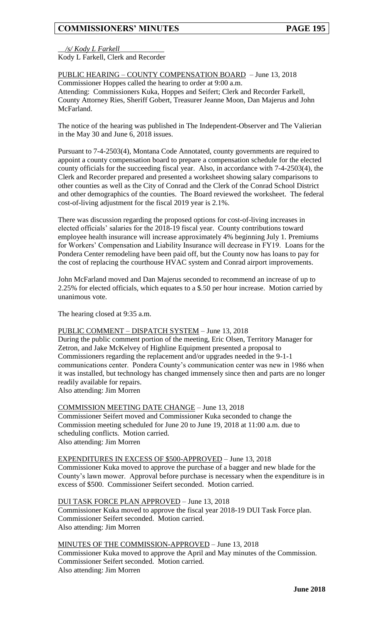\_\_*/s/ Kody L Farkell*\_\_\_\_\_\_\_\_\_\_\_\_

Kody L Farkell, Clerk and Recorder

#### PUBLIC HEARING – COUNTY COMPENSATION BOARD – June 13, 2018 Commissioner Hoppes called the hearing to order at 9:00 a.m. Attending: Commissioners Kuka, Hoppes and Seifert; Clerk and Recorder Farkell, County Attorney Ries, Sheriff Gobert, Treasurer Jeanne Moon, Dan Majerus and John McFarland.

The notice of the hearing was published in The Independent-Observer and The Valierian in the May 30 and June 6, 2018 issues.

Pursuant to 7-4-2503(4), Montana Code Annotated, county governments are required to appoint a county compensation board to prepare a compensation schedule for the elected county officials for the succeeding fiscal year. Also, in accordance with 7-4-2503(4), the Clerk and Recorder prepared and presented a worksheet showing salary comparisons to other counties as well as the City of Conrad and the Clerk of the Conrad School District and other demographics of the counties. The Board reviewed the worksheet. The federal cost-of-living adjustment for the fiscal 2019 year is 2.1%.

There was discussion regarding the proposed options for cost-of-living increases in elected officials' salaries for the 2018-19 fiscal year. County contributions toward employee health insurance will increase approximately 4% beginning July 1. Premiums for Workers' Compensation and Liability Insurance will decrease in FY19. Loans for the Pondera Center remodeling have been paid off, but the County now has loans to pay for the cost of replacing the courthouse HVAC system and Conrad airport improvements.

John McFarland moved and Dan Majerus seconded to recommend an increase of up to 2.25% for elected officials, which equates to a \$.50 per hour increase. Motion carried by unanimous vote.

The hearing closed at 9:35 a.m.

#### PUBLIC COMMENT – DISPATCH SYSTEM – June 13, 2018

During the public comment portion of the meeting, Eric Olsen, Territory Manager for Zetron, and Jake McKelvey of Highline Equipment presented a proposal to Commissioners regarding the replacement and/or upgrades needed in the 9-1-1 communications center. Pondera County's communication center was new in 1986 when it was installed, but technology has changed immensely since then and parts are no longer readily available for repairs.

Also attending: Jim Morren

#### COMMISSION MEETING DATE CHANGE – June 13, 2018 Commissioner Seifert moved and Commissioner Kuka seconded to change the Commission meeting scheduled for June 20 to June 19, 2018 at 11:00 a.m. due to scheduling conflicts. Motion carried. Also attending: Jim Morren

#### EXPENDITURES IN EXCESS OF \$500-APPROVED – June 13, 2018 Commissioner Kuka moved to approve the purchase of a bagger and new blade for the County's lawn mower. Approval before purchase is necessary when the expenditure is in excess of \$500. Commissioner Seifert seconded. Motion carried.

DUI TASK FORCE PLAN APPROVED – June 13, 2018 Commissioner Kuka moved to approve the fiscal year 2018-19 DUI Task Force plan. Commissioner Seifert seconded. Motion carried. Also attending: Jim Morren

MINUTES OF THE COMMISSION-APPROVED – June 13, 2018 Commissioner Kuka moved to approve the April and May minutes of the Commission. Commissioner Seifert seconded. Motion carried. Also attending: Jim Morren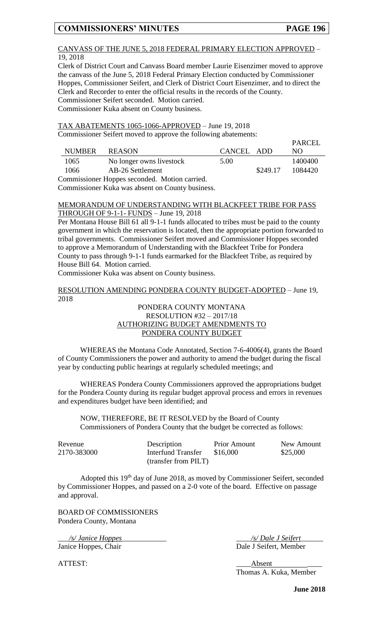**PARCEL** 

#### CANVASS OF THE JUNE 5, 2018 FEDERAL PRIMARY ELECTION APPROVED – 19, 2018

Clerk of District Court and Canvass Board member Laurie Eisenzimer moved to approve the canvass of the June 5, 2018 Federal Primary Election conducted by Commissioner Hoppes, Commissioner Seifert, and Clerk of District Court Eisenzimer, and to direct the Clerk and Recorder to enter the official results in the records of the County. Commissioner Seifert seconded. Motion carried. Commissioner Kuka absent on County business.

TAX ABATEMENTS 1065-1066-APPROVED – June 19, 2018 Commissioner Seifert moved to approve the following abatements:

|                                               |               |                          |            |          | PARCEL  |
|-----------------------------------------------|---------------|--------------------------|------------|----------|---------|
|                                               | <b>NUMBER</b> | <b>REASON</b>            | CANCEL ADD |          | NO.     |
|                                               | 1065          | No longer owns livestock | 5.00       |          | 1400400 |
|                                               | 1066          | AB-26 Settlement         |            | \$249.17 | 1084420 |
| Commissioner Hoppes seconded. Motion carried. |               |                          |            |          |         |

Commissioner Kuka was absent on County business.

# MEMORANDUM OF UNDERSTANDING WITH BLACKFEET TRIBE FOR PASS THROUGH OF 9-1-1- FUNDS – June 19, 2018

Per Montana House Bill 61 all 9-1-1 funds allocated to tribes must be paid to the county government in which the reservation is located, then the appropriate portion forwarded to tribal governments. Commissioner Seifert moved and Commissioner Hoppes seconded to approve a Memorandum of Understanding with the Blackfeet Tribe for Pondera County to pass through 9-1-1 funds earmarked for the Blackfeet Tribe, as required by House Bill 64. Motion carried.

Commissioner Kuka was absent on County business.

#### RESOLUTION AMENDING PONDERA COUNTY BUDGET-ADOPTED – June 19, 2018

#### PONDERA COUNTY MONTANA RESOLUTION #32 – 2017/18 AUTHORIZING BUDGET AMENDMENTS TO PONDERA COUNTY BUDGET

WHEREAS the Montana Code Annotated, Section 7-6-4006(4), grants the Board of County Commissioners the power and authority to amend the budget during the fiscal year by conducting public hearings at regularly scheduled meetings; and

WHEREAS Pondera County Commissioners approved the appropriations budget for the Pondera County during its regular budget approval process and errors in revenues and expenditures budget have been identified; and

NOW, THEREFORE, BE IT RESOLVED by the Board of County Commissioners of Pondera County that the budget be corrected as follows:

| Revenue     | Description          | <b>Prior Amount</b> | New Amount |
|-------------|----------------------|---------------------|------------|
| 2170-383000 | Interfund Transfer   | \$16.000            | \$25,000   |
|             | (transfer from PILT) |                     |            |

Adopted this 19th day of June 2018, as moved by Commissioner Seifert, seconded by Commissioner Hoppes, and passed on a 2-0 vote of the board. Effective on passage and approval.

BOARD OF COMMISSIONERS Pondera County, Montana

Janice Hoppes, Chair Dale J Seifert, Member

\_\_\_*/s/ Janice Hoppes*\_\_\_\_\_\_\_\_\_\_\_\_ \_\_\_\_*/s/ Dale J Seifert*\_\_\_\_\_\_

ATTEST: Absent Thomas A. Kuka, Member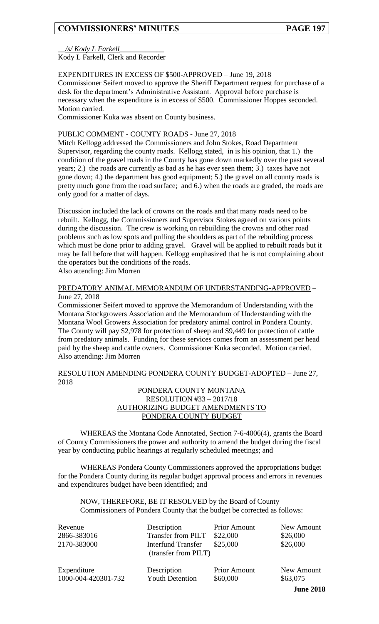#### \_\_*/s/ Kody L Farkell*\_\_\_\_\_\_\_\_\_\_\_\_

Kody L Farkell, Clerk and Recorder

### EXPENDITURES IN EXCESS OF \$500-APPROVED – June 19, 2018

Commissioner Seifert moved to approve the Sheriff Department request for purchase of a desk for the department's Administrative Assistant. Approval before purchase is necessary when the expenditure is in excess of \$500. Commissioner Hoppes seconded. Motion carried.

Commissioner Kuka was absent on County business.

## PUBLIC COMMENT - COUNTY ROADS - June 27, 2018

Mitch Kellogg addressed the Commissioners and John Stokes, Road Department Supervisor, regarding the county roads. Kellogg stated, in is his opinion, that 1.) the condition of the gravel roads in the County has gone down markedly over the past several years; 2.) the roads are currently as bad as he has ever seen them; 3.) taxes have not gone down; 4.) the department has good equipment; 5.) the gravel on all county roads is pretty much gone from the road surface; and 6.) when the roads are graded, the roads are only good for a matter of days.

Discussion included the lack of crowns on the roads and that many roads need to be rebuilt. Kellogg, the Commissioners and Supervisor Stokes agreed on various points during the discussion. The crew is working on rebuilding the crowns and other road problems such as low spots and pulling the shoulders as part of the rebuilding process which must be done prior to adding gravel. Gravel will be applied to rebuilt roads but it may be fall before that will happen. Kellogg emphasized that he is not complaining about the operators but the conditions of the roads. Also attending: Jim Morren

### PREDATORY ANIMAL MEMORANDUM OF UNDERSTANDING-APPROVED – June 27, 2018

Commissioner Seifert moved to approve the Memorandum of Understanding with the Montana Stockgrowers Association and the Memorandum of Understanding with the Montana Wool Growers Association for predatory animal control in Pondera County. The County will pay \$2,978 for protection of sheep and \$9,449 for protection of cattle from predatory animals. Funding for these services comes from an assessment per head paid by the sheep and cattle owners. Commissioner Kuka seconded. Motion carried. Also attending: Jim Morren

#### RESOLUTION AMENDING PONDERA COUNTY BUDGET-ADOPTED – June 27, 2018

#### PONDERA COUNTY MONTANA RESOLUTION #33 – 2017/18 AUTHORIZING BUDGET AMENDMENTS TO PONDERA COUNTY BUDGET

WHEREAS the Montana Code Annotated, Section 7-6-4006(4), grants the Board of County Commissioners the power and authority to amend the budget during the fiscal year by conducting public hearings at regularly scheduled meetings; and

WHEREAS Pondera County Commissioners approved the appropriations budget for the Pondera County during its regular budget approval process and errors in revenues and expenditures budget have been identified; and

## NOW, THEREFORE, BE IT RESOLVED by the Board of County Commissioners of Pondera County that the budget be corrected as follows:

| Revenue<br>2866-383016<br>2170-383000 | Description<br><b>Transfer from PILT</b><br><b>Interfund Transfer</b><br>(transfer from PILT) | <b>Prior Amount</b><br>\$22,000<br>\$25,000 | New Amount<br>\$26,000<br>\$26,000 |
|---------------------------------------|-----------------------------------------------------------------------------------------------|---------------------------------------------|------------------------------------|
| Expenditure                           | Description                                                                                   | <b>Prior Amount</b>                         | New Amount                         |
| 1000-004-420301-732                   | <b>Youth Detention</b>                                                                        | \$60,000                                    | \$63,075                           |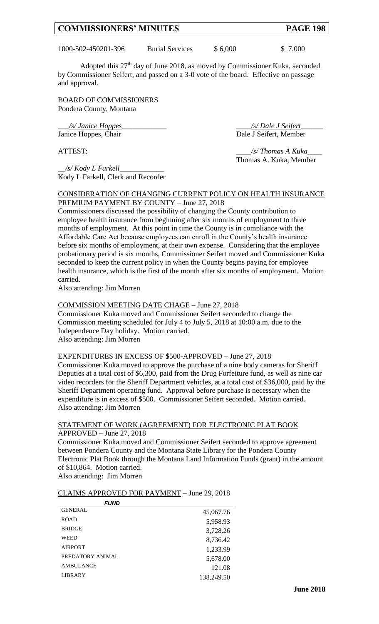1000-502-450201-396 Burial Services \$ 6,000 \$ 7,000

Adopted this  $27<sup>th</sup>$  day of June 2018, as moved by Commissioner Kuka, seconded by Commissioner Seifert, and passed on a 3-0 vote of the board. Effective on passage and approval.

BOARD OF COMMISSIONERS Pondera County, Montana

\_\_\_*/s/ Janice Hoppes*\_\_\_\_\_\_\_\_\_\_\_\_ \_\_\_\_*/s/ Dale J Seifert*\_\_\_\_\_\_ Janice Hoppes, Chair Dale J Seifert, Member

ATTEST: \_\_\_\_*/s/ Thomas A Kuka*\_\_\_\_ Thomas A. Kuka, Member

\_\_*/s/ Kody L Farkell*\_\_\_\_\_\_\_\_\_\_\_\_ Kody L Farkell, Clerk and Recorder

CONSIDERATION OF CHANGING CURRENT POLICY ON HEALTH INSURANCE PREMIUM PAYMENT BY COUNTY – June 27, 2018

Commissioners discussed the possibility of changing the County contribution to employee health insurance from beginning after six months of employment to three months of employment. At this point in time the County is in compliance with the Affordable Care Act because employees can enroll in the County's health insurance before six months of employment, at their own expense. Considering that the employee probationary period is six months, Commissioner Seifert moved and Commissioner Kuka seconded to keep the current policy in when the County begins paying for employee health insurance, which is the first of the month after six months of employment. Motion carried.

Also attending: Jim Morren

#### COMMISSION MEETING DATE CHAGE – June 27, 2018

Commissioner Kuka moved and Commissioner Seifert seconded to change the Commission meeting scheduled for July 4 to July 5, 2018 at 10:00 a.m. due to the Independence Day holiday. Motion carried. Also attending: Jim Morren

#### EXPENDITURES IN EXCESS OF \$500-APPROVED – June 27, 2018

Commissioner Kuka moved to approve the purchase of a nine body cameras for Sheriff Deputies at a total cost of \$6,300, paid from the Drug Forfeiture fund, as well as nine car video recorders for the Sheriff Department vehicles, at a total cost of \$36,000, paid by the Sheriff Department operating fund. Approval before purchase is necessary when the expenditure is in excess of \$500. Commissioner Seifert seconded. Motion carried. Also attending: Jim Morren

#### STATEMENT OF WORK (AGREEMENT) FOR ELECTRONIC PLAT BOOK APPROVED – June 27, 2018

Commissioner Kuka moved and Commissioner Seifert seconded to approve agreement between Pondera County and the Montana State Library for the Pondera County Electronic Plat Book through the Montana Land Information Funds (grant) in the amount of \$10,864. Motion carried.

Also attending: Jim Morren

*FUND*

#### CLAIMS APPROVED FOR PAYMENT – June 29, 2018

| ----             |            |
|------------------|------------|
| <b>GENERAL</b>   | 45,067.76  |
| <b>ROAD</b>      | 5,958.93   |
| <b>BRIDGE</b>    | 3,728.26   |
| WEED             | 8,736.42   |
| <b>AIRPORT</b>   | 1,233.99   |
| PREDATORY ANIMAL | 5,678.00   |
| <b>AMBULANCE</b> | 121.08     |
| <b>LIBRARY</b>   | 138,249.50 |
|                  |            |